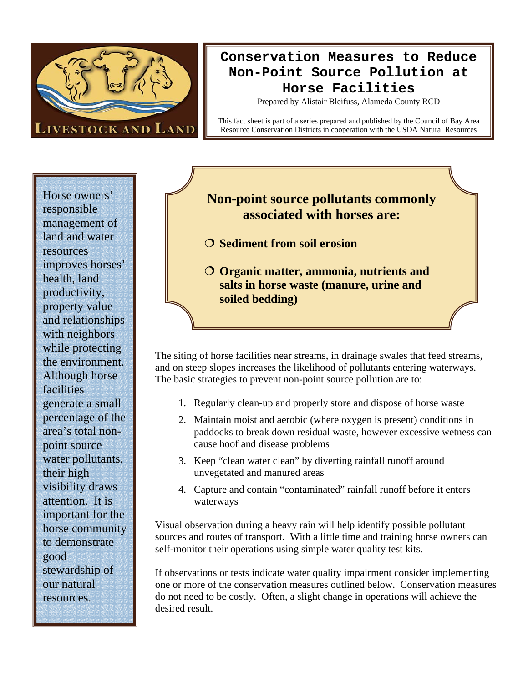

# **Conservation Measures to Reduce Non-Point Source Pollution at Horse Facilities**

Prepared by Alistair Bleifuss, Alameda County RCD

This fact sheet is part of a series prepared and published by the Council of Bay Area Resource Conservation Districts in cooperation with the USDA Natural Resources

Horse owners' responsible management of land and water resources improves horses' health, land productivity, property value and relationships with neighbors while protecting the environment. Although horse facilities generate a small percentage of the area's total nonpoint source water pollutants, their high visibility draws attention. It is important for the horse community to demonstrate good stewardship of our natural resources.

## **Non-point source pollutants commonly associated with horses are:**

- **O** Sediment from soil erosion
- **Organic matter, ammonia, nutrients and salts in horse waste (manure, urine and soiled bedding)**

The siting of horse facilities near streams, in drainage swales that feed streams, and on steep slopes increases the likelihood of pollutants entering waterways. The basic strategies to prevent non-point source pollution are to:

- 1. Regularly clean-up and properly store and dispose of horse waste
- 2. Maintain moist and aerobic (where oxygen is present) conditions in paddocks to break down residual waste, however excessive wetness can cause hoof and disease problems
- 3. Keep "clean water clean" by diverting rainfall runoff around unvegetated and manured areas
- 4. Capture and contain "contaminated" rainfall runoff before it enters waterways

Visual observation during a heavy rain will help identify possible pollutant sources and routes of transport. With a little time and training horse owners can self-monitor their operations using simple water quality test kits.

If observations or tests indicate water quality impairment consider implementing one or more of the conservation measures outlined below. Conservation measures do not need to be costly. Often, a slight change in operations will achieve the desired result.